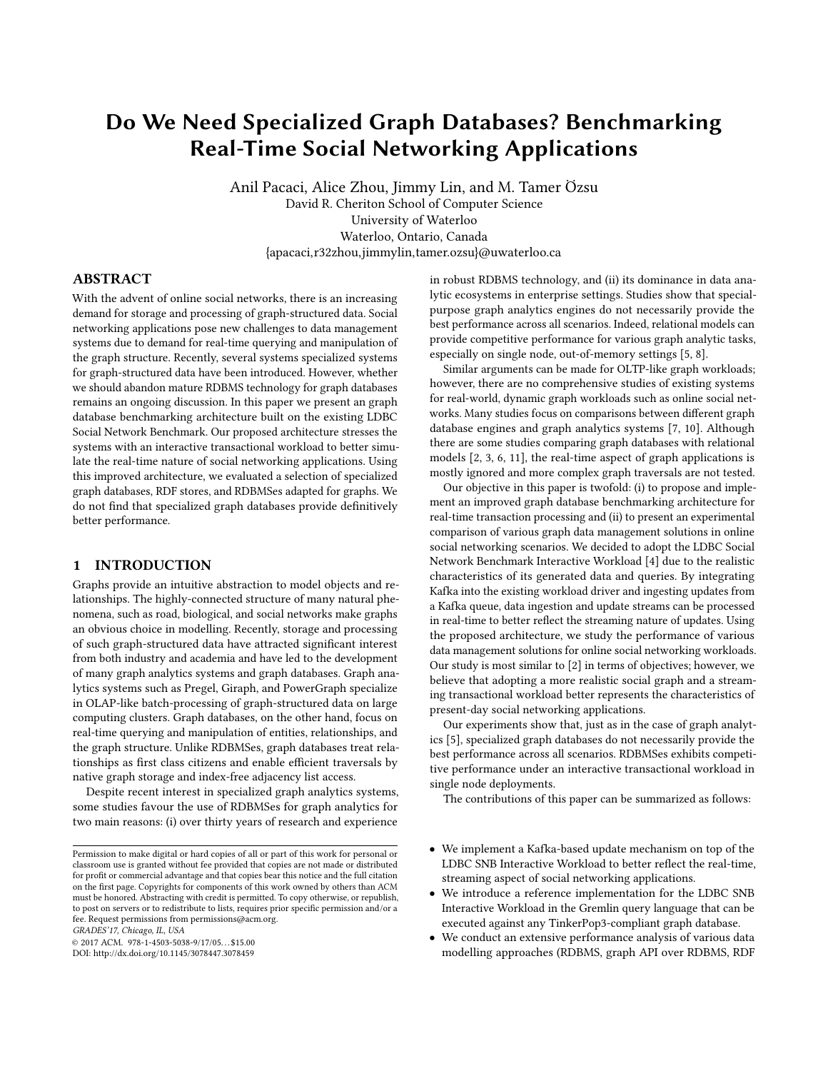# Do We Need Specialized Graph Databases? Benchmarking Real-Time Social Networking Applications

Anil Pacaci, Alice Zhou, Jimmy Lin, and M. Tamer Özsu David R. Cheriton School of Computer Science University of Waterloo Waterloo, Ontario, Canada {apacaci,r32zhou,jimmylin,tamer.ozsu}@uwaterloo.ca

# ABSTRACT

With the advent of online social networks, there is an increasing demand for storage and processing of graph-structured data. Social networking applications pose new challenges to data management systems due to demand for real-time querying and manipulation of the graph structure. Recently, several systems specialized systems for graph-structured data have been introduced. However, whether we should abandon mature RDBMS technology for graph databases remains an ongoing discussion. In this paper we present an graph database benchmarking architecture built on the existing LDBC Social Network Benchmark. Our proposed architecture stresses the systems with an interactive transactional workload to better simulate the real-time nature of social networking applications. Using this improved architecture, we evaluated a selection of specialized graph databases, RDF stores, and RDBMSes adapted for graphs. We do not find that specialized graph databases provide definitively better performance.

# 1 INTRODUCTION

Graphs provide an intuitive abstraction to model objects and relationships. The highly-connected structure of many natural phenomena, such as road, biological, and social networks make graphs an obvious choice in modelling. Recently, storage and processing of such graph-structured data have attracted signicant interest from both industry and academia and have led to the development of many graph analytics systems and graph databases. Graph analytics systems such as Pregel, Giraph, and PowerGraph specialize in OLAP-like batch-processing of graph-structured data on large computing clusters. Graph databases, on the other hand, focus on real-time querying and manipulation of entities, relationships, and the graph structure. Unlike RDBMSes, graph databases treat relationships as first class citizens and enable efficient traversals by native graph storage and index-free adjacency list access.

Despite recent interest in specialized graph analytics systems, some studies favour the use of RDBMSes for graph analytics for two main reasons: (i) over thirty years of research and experience

GRADES'17, Chicago, IL, USA

in robust RDBMS technology, and (ii) its dominance in data analytic ecosystems in enterprise settings. Studies show that specialpurpose graph analytics engines do not necessarily provide the best performance across all scenarios. Indeed, relational models can provide competitive performance for various graph analytic tasks, especially on single node, out-of-memory settings [\[5,](#page-5-0) [8\]](#page-5-1).

Similar arguments can be made for OLTP-like graph workloads; however, there are no comprehensive studies of existing systems for real-world, dynamic graph workloads such as online social networks. Many studies focus on comparisons between different graph database engines and graph analytics systems [\[7,](#page-5-2) [10\]](#page-5-3). Although there are some studies comparing graph databases with relational models [\[2,](#page-5-4) [3,](#page-5-5) [6,](#page-5-6) [11\]](#page-5-7), the real-time aspect of graph applications is mostly ignored and more complex graph traversals are not tested.

Our objective in this paper is twofold: (i) to propose and implement an improved graph database benchmarking architecture for real-time transaction processing and (ii) to present an experimental comparison of various graph data management solutions in online social networking scenarios. We decided to adopt the LDBC Social Network Benchmark Interactive Workload [\[4\]](#page-5-8) due to the realistic characteristics of its generated data and queries. By integrating Kafka into the existing workload driver and ingesting updates from a Kafka queue, data ingestion and update streams can be processed in real-time to better reflect the streaming nature of updates. Using the proposed architecture, we study the performance of various data management solutions for online social networking workloads. Our study is most similar to [\[2\]](#page-5-4) in terms of objectives; however, we believe that adopting a more realistic social graph and a streaming transactional workload better represents the characteristics of present-day social networking applications.

Our experiments show that, just as in the case of graph analytics [\[5\]](#page-5-0), specialized graph databases do not necessarily provide the best performance across all scenarios. RDBMSes exhibits competitive performance under an interactive transactional workload in single node deployments.

The contributions of this paper can be summarized as follows:

- We implement a Kafka-based update mechanism on top of the LDBC SNB Interactive Workload to better reflect the real-time, streaming aspect of social networking applications.
- We introduce a reference implementation for the LDBC SNB Interactive Workload in the Gremlin query language that can be executed against any TinkerPop3-compliant graph database.
- We conduct an extensive performance analysis of various data modelling approaches (RDBMS, graph API over RDBMS, RDF

Permission to make digital or hard copies of all or part of this work for personal or classroom use is granted without fee provided that copies are not made or distributed for profit or commercial advantage and that copies bear this notice and the full citation on the first page. Copyrights for components of this work owned by others than ACM  $\,$ must be honored. Abstracting with credit is permitted. To copy otherwise, or republish, to post on servers or to redistribute to lists, requires prior specific permission and/or a fee. Request permissions from permissions@acm.org.

<sup>©</sup> 2017 ACM. 978-1-4503-5038-9/17/05. . . \$15.00

DOI: http://dx.doi.org/10.1145/3078447.3078459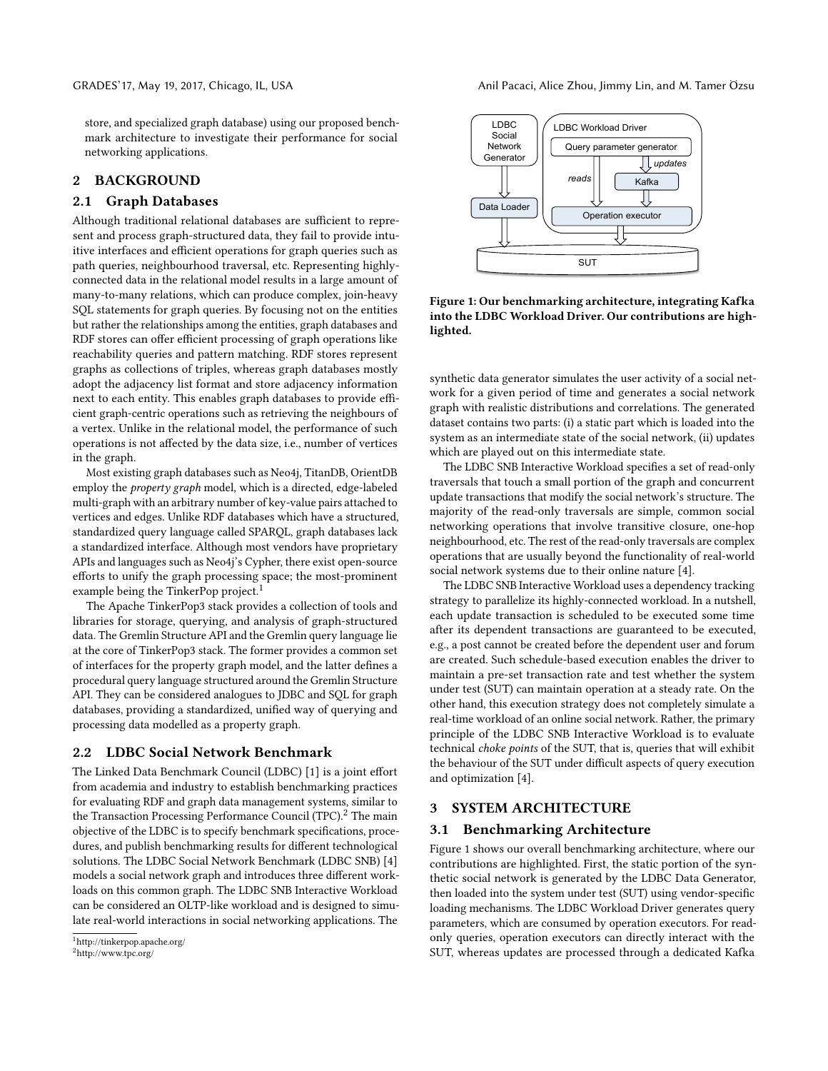store, and specialized graph database) using our proposed benchmark architecture to investigate their performance for social networking applications.

# 2 BACKGROUND

## 2.1 Graph Databases

Although traditional relational databases are sufficient to represent and process graph-structured data, they fail to provide intuitive interfaces and efficient operations for graph queries such as path queries, neighbourhood traversal, etc. Representing highlyconnected data in the relational model results in a large amount of many-to-many relations, which can produce complex, join-heavy SQL statements for graph queries. By focusing not on the entities but rather the relationships among the entities, graph databases and RDF stores can offer efficient processing of graph operations like reachability queries and pattern matching. RDF stores represent graphs as collections of triples, whereas graph databases mostly adopt the adjacency list format and store adjacency information next to each entity. This enables graph databases to provide efficient graph-centric operations such as retrieving the neighbours of a vertex. Unlike in the relational model, the performance of such operations is not affected by the data size, i.e., number of vertices in the graph.

Most existing graph databases such as Neo4j, TitanDB, OrientDB employ the property graph model, which is a directed, edge-labeled multi-graph with an arbitrary number of key-value pairs attached to vertices and edges. Unlike RDF databases which have a structured, standardized query language called SPARQL, graph databases lack a standardized interface. Although most vendors have proprietary APIs and languages such as Neo4j's Cypher, there exist open-source efforts to unify the graph processing space; the most-prominent example being the TinkerPop project.<sup>[1](#page-1-0)</sup>

The Apache TinkerPop3 stack provides a collection of tools and libraries for storage, querying, and analysis of graph-structured data. The Gremlin Structure API and the Gremlin query language lie at the core of TinkerPop3 stack. The former provides a common set of interfaces for the property graph model, and the latter defines a procedural query language structured around the Gremlin Structure API. They can be considered analogues to JDBC and SQL for graph databases, providing a standardized, unified way of querying and processing data modelled as a property graph.

#### 2.2 LDBC Social Network Benchmark

The Linked Data Benchmark Council (LDBC) [\[1\]](#page-5-9) is a joint effort from academia and industry to establish benchmarking practices for evaluating RDF and graph data management systems, similar to the Transaction Processing Performance Council (TPC).<sup>[2](#page-1-1)</sup> The main objective of the LDBC is to specify benchmark specifications, procedures, and publish benchmarking results for different technological solutions. The LDBC Social Network Benchmark (LDBC SNB) [\[4\]](#page-5-8) models a social network graph and introduces three different workloads on this common graph. The LDBC SNB Interactive Workload can be considered an OLTP-like workload and is designed to simulate real-world interactions in social networking applications. The

GRADES'17, May 19, 2017, Chicago, IL, USA Anil Pacaci, Alice Zhou, Jimmy Lin, and M. Tamer Özsu

<span id="page-1-2"></span>

Figure 1: Our benchmarking architecture, integrating Kafka into the LDBC Workload Driver. Our contributions are highlighted.

synthetic data generator simulates the user activity of a social network for a given period of time and generates a social network graph with realistic distributions and correlations. The generated dataset contains two parts: (i) a static part which is loaded into the system as an intermediate state of the social network, (ii) updates which are played out on this intermediate state.

The LDBC SNB Interactive Workload specifies a set of read-only traversals that touch a small portion of the graph and concurrent update transactions that modify the social network's structure. The majority of the read-only traversals are simple, common social networking operations that involve transitive closure, one-hop neighbourhood, etc. The rest of the read-only traversals are complex operations that are usually beyond the functionality of real-world social network systems due to their online nature [\[4\]](#page-5-8).

The LDBC SNB Interactive Workload uses a dependency tracking strategy to parallelize its highly-connected workload. In a nutshell, each update transaction is scheduled to be executed some time after its dependent transactions are guaranteed to be executed, e.g., a post cannot be created before the dependent user and forum are created. Such schedule-based execution enables the driver to maintain a pre-set transaction rate and test whether the system under test (SUT) can maintain operation at a steady rate. On the other hand, this execution strategy does not completely simulate a real-time workload of an online social network. Rather, the primary principle of the LDBC SNB Interactive Workload is to evaluate technical choke points of the SUT, that is, queries that will exhibit the behaviour of the SUT under difficult aspects of query execution and optimization [\[4\]](#page-5-8).

# 3 SYSTEM ARCHITECTURE

#### <span id="page-1-3"></span>3.1 Benchmarking Architecture

Figure [1](#page-1-2) shows our overall benchmarking architecture, where our contributions are highlighted. First, the static portion of the synthetic social network is generated by the LDBC Data Generator, then loaded into the system under test (SUT) using vendor-specific loading mechanisms. The LDBC Workload Driver generates query parameters, which are consumed by operation executors. For readonly queries, operation executors can directly interact with the SUT, whereas updates are processed through a dedicated Kafka

<span id="page-1-0"></span><sup>1</sup>http://tinkerpop.apache.org/

<span id="page-1-1"></span><sup>2</sup>http://www.tpc.org/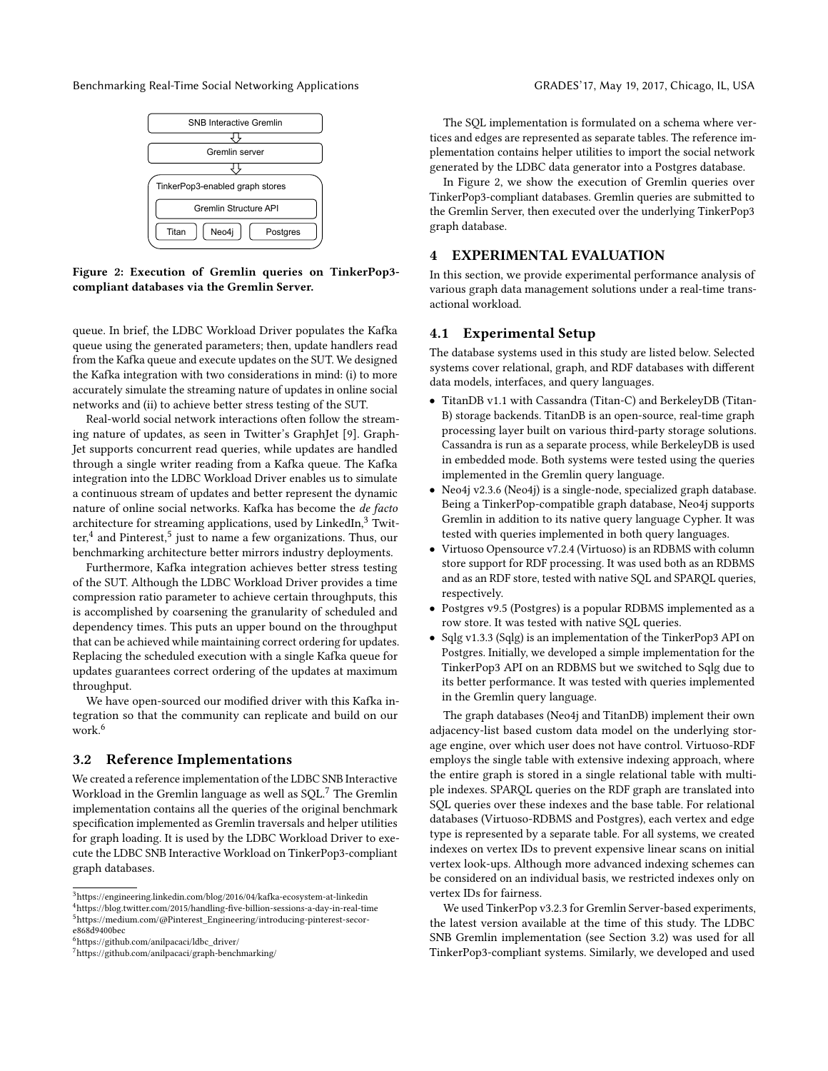<span id="page-2-5"></span>Benchmarking Real-Time Social Networking Applications GRADES'17, May 19, 2017, Chicago, IL, USA



Figure 2: Execution of Gremlin queries on TinkerPop3 compliant databases via the Gremlin Server.

queue. In brief, the LDBC Workload Driver populates the Kafka queue using the generated parameters; then, update handlers read from the Kafka queue and execute updates on the SUT. We designed the Kafka integration with two considerations in mind: (i) to more accurately simulate the streaming nature of updates in online social networks and (ii) to achieve better stress testing of the SUT.

Real-world social network interactions often follow the streaming nature of updates, as seen in Twitter's GraphJet [\[9\]](#page-5-10). Graph-Jet supports concurrent read queries, while updates are handled through a single writer reading from a Kafka queue. The Kafka integration into the LDBC Workload Driver enables us to simulate a continuous stream of updates and better represent the dynamic nature of online social networks. Kafka has become the de facto architecture for streaming applications, used by LinkedIn,<sup>[3](#page-2-0)</sup> Twit-ter,<sup>[4](#page-2-1)</sup> and Pinterest,<sup>[5](#page-2-2)</sup> just to name a few organizations. Thus, our benchmarking architecture better mirrors industry deployments.

Furthermore, Kafka integration achieves better stress testing of the SUT. Although the LDBC Workload Driver provides a time compression ratio parameter to achieve certain throughputs, this is accomplished by coarsening the granularity of scheduled and dependency times. This puts an upper bound on the throughput that can be achieved while maintaining correct ordering for updates. Replacing the scheduled execution with a single Kafka queue for updates guarantees correct ordering of the updates at maximum throughput.

We have open-sourced our modified driver with this Kafka integration so that the community can replicate and build on our work.<sup>[6](#page-2-3)</sup>

## <span id="page-2-6"></span>3.2 Reference Implementations

We created a reference implementation of the LDBC SNB Interactive Workload in the Gremlin language as well as SQL.[7](#page-2-4) The Gremlin implementation contains all the queries of the original benchmark specification implemented as Gremlin traversals and helper utilities for graph loading. It is used by the LDBC Workload Driver to execute the LDBC SNB Interactive Workload on TinkerPop3-compliant graph databases.

The SQL implementation is formulated on a schema where vertices and edges are represented as separate tables. The reference implementation contains helper utilities to import the social network generated by the LDBC data generator into a Postgres database.

In Figure [2,](#page-2-5) we show the execution of Gremlin queries over TinkerPop3-compliant databases. Gremlin queries are submitted to the Gremlin Server, then executed over the underlying TinkerPop3 graph database.

# 4 EXPERIMENTAL EVALUATION

In this section, we provide experimental performance analysis of various graph data management solutions under a real-time transactional workload.

# 4.1 Experimental Setup

The database systems used in this study are listed below. Selected systems cover relational, graph, and RDF databases with different data models, interfaces, and query languages.

- TitanDB v1.1 with Cassandra (Titan-C) and BerkeleyDB (Titan-B) storage backends. TitanDB is an open-source, real-time graph processing layer built on various third-party storage solutions. Cassandra is run as a separate process, while BerkeleyDB is used in embedded mode. Both systems were tested using the queries implemented in the Gremlin query language.
- Neo4j v2.3.6 (Neo4j) is a single-node, specialized graph database. Being a TinkerPop-compatible graph database, Neo4j supports Gremlin in addition to its native query language Cypher. It was tested with queries implemented in both query languages.
- Virtuoso Opensource v7.2.4 (Virtuoso) is an RDBMS with column store support for RDF processing. It was used both as an RDBMS and as an RDF store, tested with native SQL and SPARQL queries, respectively.
- Postgres v9.5 (Postgres) is a popular RDBMS implemented as a row store. It was tested with native SQL queries.
- Sqlg v1.3.3 (Sqlg) is an implementation of the TinkerPop3 API on Postgres. Initially, we developed a simple implementation for the TinkerPop3 API on an RDBMS but we switched to Sqlg due to its better performance. It was tested with queries implemented in the Gremlin query language.

The graph databases (Neo4j and TitanDB) implement their own adjacency-list based custom data model on the underlying storage engine, over which user does not have control. Virtuoso-RDF employs the single table with extensive indexing approach, where the entire graph is stored in a single relational table with multiple indexes. SPARQL queries on the RDF graph are translated into SQL queries over these indexes and the base table. For relational databases (Virtuoso-RDBMS and Postgres), each vertex and edge type is represented by a separate table. For all systems, we created indexes on vertex IDs to prevent expensive linear scans on initial vertex look-ups. Although more advanced indexing schemes can be considered on an individual basis, we restricted indexes only on vertex IDs for fairness.

We used TinkerPop v3.2.3 for Gremlin Server-based experiments, the latest version available at the time of this study. The LDBC SNB Gremlin implementation (see Section [3.2\)](#page-2-6) was used for all TinkerPop3-compliant systems. Similarly, we developed and used

<span id="page-2-2"></span><span id="page-2-1"></span><span id="page-2-0"></span><sup>3</sup>https://engineering.linkedin.com/blog/2016/04/kafka-ecosystem-at-linkedin <sup>4</sup>https://blog.twitter.com/2015/handling-five-billion-sessions-a-day-in-real-time  $5$ https://medium.com/@Pinterest\_Engineering/introducing-pinterest-secore868d9400bec

<span id="page-2-3"></span><sup>6</sup>https://github.com/anilpacaci/ldbc\_driver/

<span id="page-2-4"></span><sup>7</sup>https://github.com/anilpacaci/graph-benchmarking/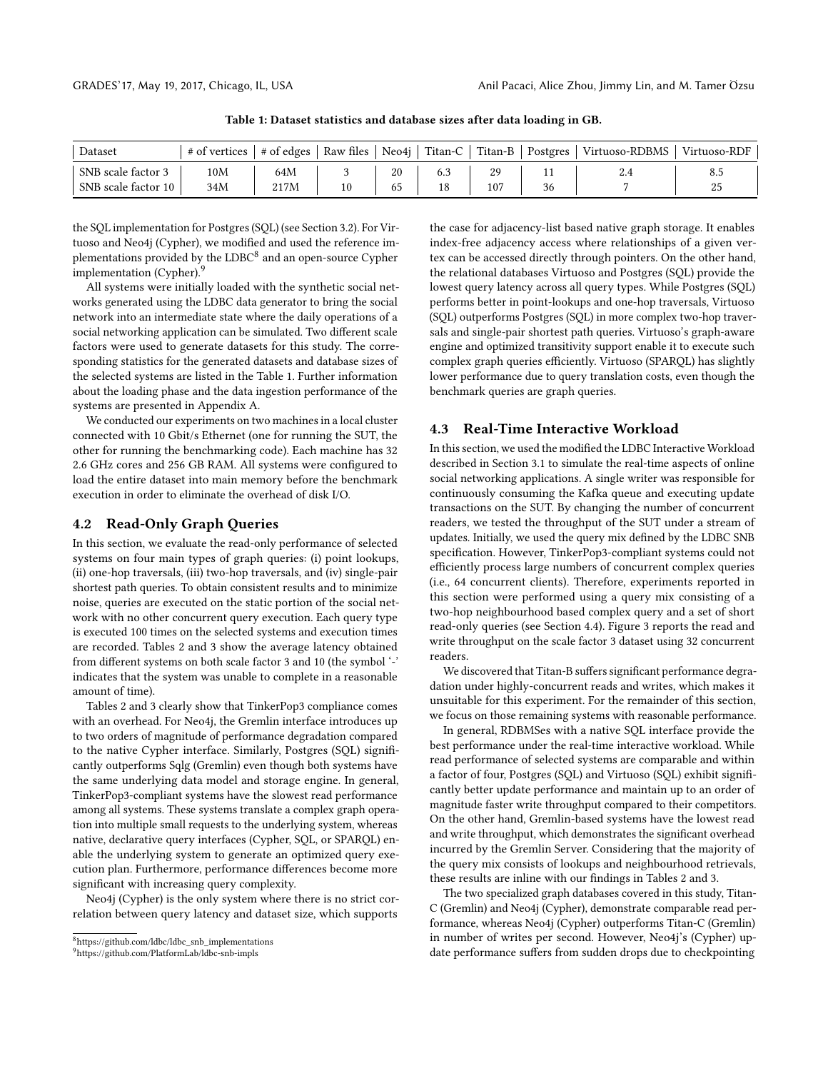<span id="page-3-2"></span>

| Dataset             | # of vertices |      |    |     |    | # of edges   Raw files   Neo4j   Titan-C   Titan-B   Postgres   Virtuoso-RDBMS | Virtuoso-RDF |
|---------------------|---------------|------|----|-----|----|--------------------------------------------------------------------------------|--------------|
| SNB scale factor 3  | 10M           | 64M  | 20 |     |    |                                                                                | 8.5          |
| SNB scale factor 10 | 34M           | 217M | ნა | 107 | 36 |                                                                                | 43           |

Table 1: Dataset statistics and database sizes after data loading in GB.

the SQL implementation for Postgres (SQL) (see Section [3.2\)](#page-2-6). For Virtuoso and Neo4j (Cypher), we modified and used the reference implementations provided by the  ${\rm LDBC}^8$  ${\rm LDBC}^8$  and an open-source Cypher implementation (Cypher).<sup>[9](#page-3-1)</sup>

All systems were initially loaded with the synthetic social networks generated using the LDBC data generator to bring the social network into an intermediate state where the daily operations of a social networking application can be simulated. Two different scale factors were used to generate datasets for this study. The corresponding statistics for the generated datasets and database sizes of the selected systems are listed in the Table [1.](#page-3-2) Further information about the loading phase and the data ingestion performance of the systems are presented in Appendix [A.](#page-6-0)

We conducted our experiments on two machines in a local cluster connected with 10 Gbit/s Ethernet (one for running the SUT, the other for running the benchmarking code). Each machine has 32 2.6 GHz cores and 256 GB RAM. All systems were configured to load the entire dataset into main memory before the benchmark execution in order to eliminate the overhead of disk I/O.

## 4.2 Read-Only Graph Queries

In this section, we evaluate the read-only performance of selected systems on four main types of graph queries: (i) point lookups, (ii) one-hop traversals, (iii) two-hop traversals, and (iv) single-pair shortest path queries. To obtain consistent results and to minimize noise, queries are executed on the static portion of the social network with no other concurrent query execution. Each query type is executed 100 times on the selected systems and execution times are recorded. Tables [2](#page-4-0) and [3](#page-4-1) show the average latency obtained from different systems on both scale factor 3 and 10 (the symbol '-' indicates that the system was unable to complete in a reasonable amount of time).

Tables [2](#page-4-0) and [3](#page-4-1) clearly show that TinkerPop3 compliance comes with an overhead. For Neo4j, the Gremlin interface introduces up to two orders of magnitude of performance degradation compared to the native Cypher interface. Similarly, Postgres (SQL) significantly outperforms Sqlg (Gremlin) even though both systems have the same underlying data model and storage engine. In general, TinkerPop3-compliant systems have the slowest read performance among all systems. These systems translate a complex graph operation into multiple small requests to the underlying system, whereas native, declarative query interfaces (Cypher, SQL, or SPARQL) enable the underlying system to generate an optimized query execution plan. Furthermore, performance differences become more significant with increasing query complexity.

Neo4j (Cypher) is the only system where there is no strict correlation between query latency and dataset size, which supports

the case for adjacency-list based native graph storage. It enables index-free adjacency access where relationships of a given vertex can be accessed directly through pointers. On the other hand, the relational databases Virtuoso and Postgres (SQL) provide the lowest query latency across all query types. While Postgres (SQL) performs better in point-lookups and one-hop traversals, Virtuoso (SQL) outperforms Postgres (SQL) in more complex two-hop traversals and single-pair shortest path queries. Virtuoso's graph-aware engine and optimized transitivity support enable it to execute such complex graph queries efficiently. Virtuoso (SPARQL) has slightly lower performance due to query translation costs, even though the benchmark queries are graph queries.

#### <span id="page-3-3"></span>4.3 Real-Time Interactive Workload

In this section, we used the modified the LDBC Interactive Workload described in Section [3.1](#page-1-3) to simulate the real-time aspects of online social networking applications. A single writer was responsible for continuously consuming the Kafka queue and executing update transactions on the SUT. By changing the number of concurrent readers, we tested the throughput of the SUT under a stream of updates. Initially, we used the query mix defined by the LDBC SNB specification. However, TinkerPop3-compliant systems could not efficiently process large numbers of concurrent complex queries (i.e., 64 concurrent clients). Therefore, experiments reported in this section were performed using a query mix consisting of a two-hop neighbourhood based complex query and a set of short read-only queries (see Section [4.4\)](#page-4-2). Figure [3](#page-5-11) reports the read and write throughput on the scale factor 3 dataset using 32 concurrent readers.

We discovered that Titan-B suffers significant performance degradation under highly-concurrent reads and writes, which makes it unsuitable for this experiment. For the remainder of this section, we focus on those remaining systems with reasonable performance.

In general, RDBMSes with a native SQL interface provide the best performance under the real-time interactive workload. While read performance of selected systems are comparable and within a factor of four, Postgres (SQL) and Virtuoso (SQL) exhibit signi cantly better update performance and maintain up to an order of magnitude faster write throughput compared to their competitors. On the other hand, Gremlin-based systems have the lowest read and write throughput, which demonstrates the significant overhead incurred by the Gremlin Server. Considering that the majority of the query mix consists of lookups and neighbourhood retrievals, these results are inline with our findings in Tables [2](#page-4-0) and [3.](#page-4-1)

The two specialized graph databases covered in this study, Titan-C (Gremlin) and Neo4j (Cypher), demonstrate comparable read performance, whereas Neo4j (Cypher) outperforms Titan-C (Gremlin) in number of writes per second. However, Neo4j's (Cypher) update performance suffers from sudden drops due to checkpointing

<span id="page-3-0"></span><sup>&</sup>lt;sup>8</sup>https://github.com/ldbc/ldbc\_snb\_implementations

<span id="page-3-1"></span><sup>9</sup>https://github.com/PlatformLab/ldbc-snb-impls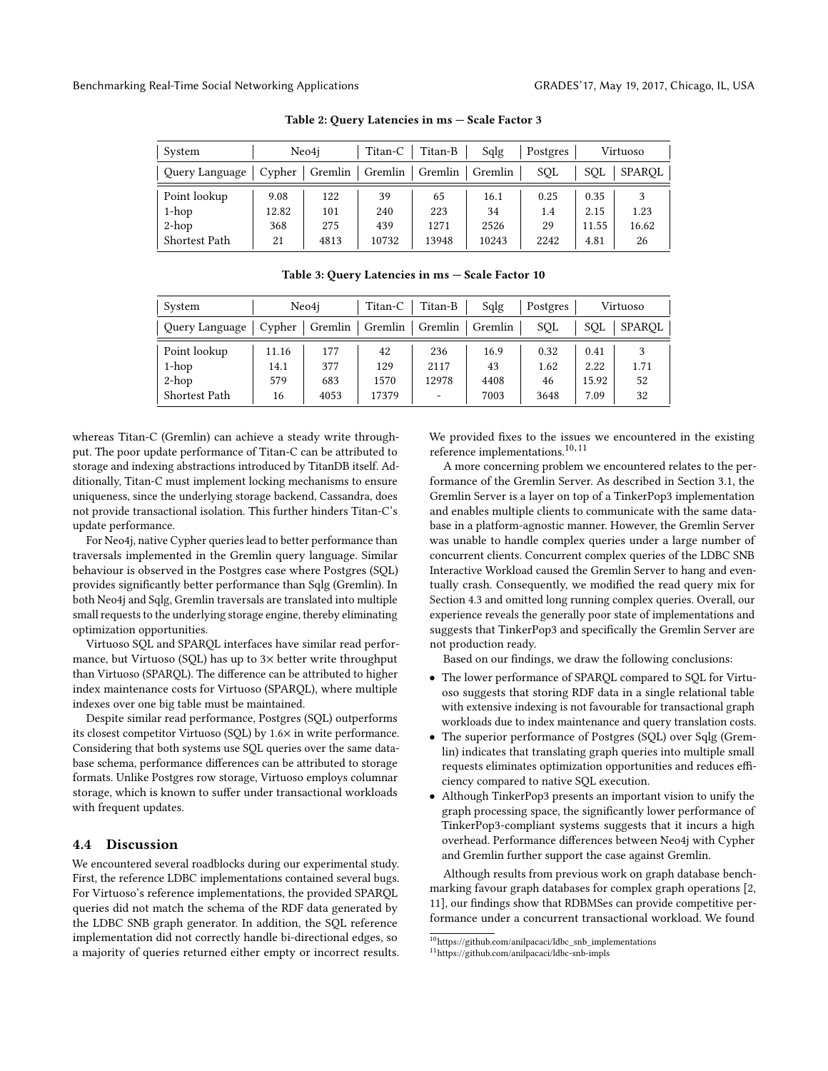<span id="page-4-0"></span>

| System         |        | Neo4i   | Titan-C | Titan-B | Sqlg    | Postgres |       | Virtuoso      |
|----------------|--------|---------|---------|---------|---------|----------|-------|---------------|
| Query Language | Cypher | Gremlin | Gremlin | Gremlin | Gremlin | SOL      | SOL   | <b>SPAROL</b> |
| Point lookup   | 9.08   | 122     | 39      | 65      | 16.1    | 0.25     | 0.35  | 1.23          |
| $1$ -hop       | 12.82  | 101     | 240     | 223     | 34      | 1.4      | 2.15  |               |
| $2-hop$        | 368    | 275     | 439     | 1271    | 2526    | 29       | 11.55 | 16.62         |
| Shortest Path  | 21     | 4813    | 10732   | 13948   | 10243   | 2242     | 4.81  | 26            |

Table 2: Query Latencies in ms — Scale Factor 3

<span id="page-4-1"></span>

| the contract of the contract of the contract of the contract of the contract of the contract of the contract of |  |  |  |
|-----------------------------------------------------------------------------------------------------------------|--|--|--|

Table 3: Query Latencies in ms — Scale Factor 10

| Query Language       |       |      | Cypher   Gremlin   Gremlin | Gremlin | $\overline{ }$<br>Gremlin | SOL  | SOL   | SPAROL |
|----------------------|-------|------|----------------------------|---------|---------------------------|------|-------|--------|
| Point lookup         | 11.16 | 177  | 42                         | 236     | 16.9                      | 0.32 | 0.41  |        |
| 1-hop                | 14.1  | 377  | 129                        | 2117    | 43                        | 1.62 | 2.22  | 1.71   |
| $2-hop$              | 579   | 683  | 1570                       | 12978   | 4408                      | 46   | 15.92 | 52     |
| <b>Shortest Path</b> | 16    | 4053 | 17379                      | -       | 7003                      | 3648 | 7.09  | 32     |

whereas Titan-C (Gremlin) can achieve a steady write throughput. The poor update performance of Titan-C can be attributed to storage and indexing abstractions introduced by TitanDB itself. Additionally, Titan-C must implement locking mechanisms to ensure uniqueness, since the underlying storage backend, Cassandra, does not provide transactional isolation. This further hinders Titan-C's update performance.

For Neo4j, native Cypher queries lead to better performance than traversals implemented in the Gremlin query language. Similar behaviour is observed in the Postgres case where Postgres (SQL) provides signicantly better performance than Sqlg (Gremlin). In both Neo4j and Sqlg, Gremlin traversals are translated into multiple small requests to the underlying storage engine, thereby eliminating optimization opportunities.

Virtuoso SQL and SPARQL interfaces have similar read performance, but Virtuoso (SQL) has up to 3× better write throughput than Virtuoso (SPARQL). The difference can be attributed to higher index maintenance costs for Virtuoso (SPARQL), where multiple indexes over one big table must be maintained.

Despite similar read performance, Postgres (SQL) outperforms its closest competitor Virtuoso (SQL) by 1.6× in write performance. Considering that both systems use SQL queries over the same database schema, performance differences can be attributed to storage formats. Unlike Postgres row storage, Virtuoso employs columnar storage, which is known to suffer under transactional workloads with frequent updates.

## <span id="page-4-2"></span>4.4 Discussion

We encountered several roadblocks during our experimental study. First, the reference LDBC implementations contained several bugs. For Virtuoso's reference implementations, the provided SPARQL queries did not match the schema of the RDF data generated by the LDBC SNB graph generator. In addition, the SQL reference implementation did not correctly handle bi-directional edges, so a majority of queries returned either empty or incorrect results.

We provided fixes to the issues we encountered in the existing reference implementations.<sup>[10](#page-4-3),[11](#page-4-4)</sup>

A more concerning problem we encountered relates to the performance of the Gremlin Server. As described in Section [3.1,](#page-1-3) the Gremlin Server is a layer on top of a TinkerPop3 implementation and enables multiple clients to communicate with the same database in a platform-agnostic manner. However, the Gremlin Server was unable to handle complex queries under a large number of concurrent clients. Concurrent complex queries of the LDBC SNB Interactive Workload caused the Gremlin Server to hang and eventually crash. Consequently, we modified the read query mix for Section [4.3](#page-3-3) and omitted long running complex queries. Overall, our experience reveals the generally poor state of implementations and suggests that TinkerPop3 and specifically the Gremlin Server are not production ready.

Based on our findings, we draw the following conclusions:

- The lower performance of SPARQL compared to SQL for Virtuoso suggests that storing RDF data in a single relational table with extensive indexing is not favourable for transactional graph workloads due to index maintenance and query translation costs.
- The superior performance of Postgres (SQL) over Sqlg (Gremlin) indicates that translating graph queries into multiple small requests eliminates optimization opportunities and reduces efficiency compared to native SQL execution.
- Although TinkerPop3 presents an important vision to unify the graph processing space, the significantly lower performance of TinkerPop3-compliant systems suggests that it incurs a high overhead. Performance differences between Neo4j with Cypher and Gremlin further support the case against Gremlin.

Although results from previous work on graph database benchmarking favour graph databases for complex graph operations [\[2,](#page-5-4) [11\]](#page-5-7), our findings show that RDBMSes can provide competitive performance under a concurrent transactional workload. We found

<span id="page-4-3"></span> $^{10}\mathrm{https://github.com/anilpacaci/ldbc\_snb\_implementations}$ 

<span id="page-4-4"></span><sup>11</sup>https://github.com/anilpacaci/ldbc-snb-impls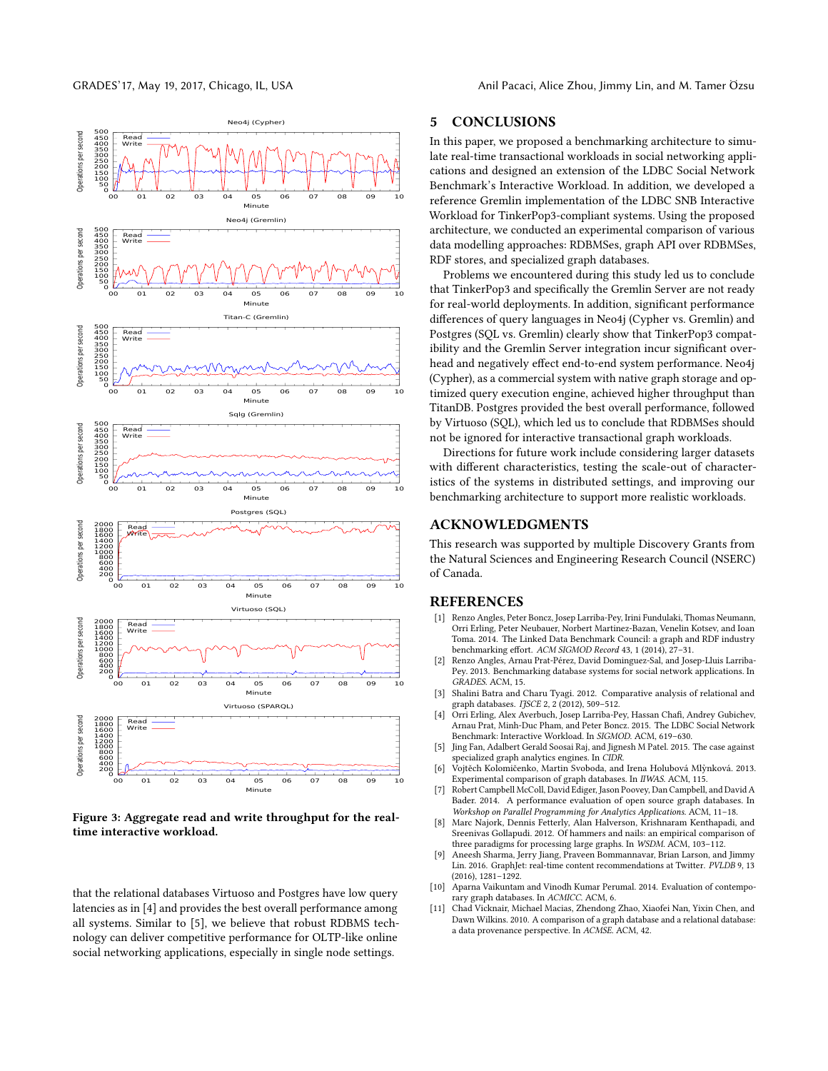GRADES'17, May 19, 2017, Chicago, IL, USA Anil Pacaci, Alice Zhou, Jimmy Lin, and M. Tamer Özsu

<span id="page-5-11"></span>

Figure 3: Aggregate read and write throughput for the realtime interactive workload.

that the relational databases Virtuoso and Postgres have low query latencies as in [\[4\]](#page-5-8) and provides the best overall performance among all systems. Similar to [\[5\]](#page-5-0), we believe that robust RDBMS technology can deliver competitive performance for OLTP-like online social networking applications, especially in single node settings.

## 5 CONCLUSIONS

In this paper, we proposed a benchmarking architecture to simulate real-time transactional workloads in social networking applications and designed an extension of the LDBC Social Network Benchmark's Interactive Workload. In addition, we developed a reference Gremlin implementation of the LDBC SNB Interactive Workload for TinkerPop3-compliant systems. Using the proposed architecture, we conducted an experimental comparison of various data modelling approaches: RDBMSes, graph API over RDBMSes, RDF stores, and specialized graph databases.

Problems we encountered during this study led us to conclude that TinkerPop3 and specifically the Gremlin Server are not ready for real-world deployments. In addition, significant performance differences of query languages in Neo4j (Cypher vs. Gremlin) and Postgres (SQL vs. Gremlin) clearly show that TinkerPop3 compatibility and the Gremlin Server integration incur significant overhead and negatively effect end-to-end system performance. Neo4j (Cypher), as a commercial system with native graph storage and optimized query execution engine, achieved higher throughput than TitanDB. Postgres provided the best overall performance, followed by Virtuoso (SQL), which led us to conclude that RDBMSes should not be ignored for interactive transactional graph workloads.

Directions for future work include considering larger datasets with different characteristics, testing the scale-out of characteristics of the systems in distributed settings, and improving our benchmarking architecture to support more realistic workloads.

# ACKNOWLEDGMENTS

This research was supported by multiple Discovery Grants from the Natural Sciences and Engineering Research Council (NSERC) of Canada.

#### REFERENCES

- <span id="page-5-9"></span>[1] Renzo Angles, Peter Boncz, Josep Larriba-Pey, Irini Fundulaki, Thomas Neumann, Orri Erling, Peter Neubauer, Norbert Martinez-Bazan, Venelin Kotsev, and Ioan Toma. 2014. The Linked Data Benchmark Council: a graph and RDF industry benchmarking effort. ACM SIGMOD Record 43, 1 (2014), 27-31.
- <span id="page-5-4"></span>[2] Renzo Angles, Arnau Prat-Pérez, David Dominguez-Sal, and Josep-Lluis Larriba-Pey. 2013. Benchmarking database systems for social network applications. In GRADES. ACM, 15.
- <span id="page-5-5"></span>[3] Shalini Batra and Charu Tyagi. 2012. Comparative analysis of relational and graph databases. IJSCE 2, 2 (2012), 509-512.
- <span id="page-5-8"></span>[4] Orri Erling, Alex Averbuch, Josep Larriba-Pey, Hassan Chafi, Andrey Gubichev, Arnau Prat, Minh-Duc Pham, and Peter Boncz. 2015. The LDBC Social Network Benchmark: Interactive Workload. In SIGMOD. ACM, 619–630.
- <span id="page-5-0"></span>[5] Jing Fan, Adalbert Gerald Soosai Raj, and Jignesh M Patel. 2015. The case against specialized graph analytics engines. In CIDR.
- <span id="page-5-6"></span>[6] Vojtěch Kolomičenko, Martin Svoboda, and Irena Holubová Mlynková. 2013. ` Experimental comparison of graph databases. In IIWAS. ACM, 115.
- <span id="page-5-2"></span>[7] Robert Campbell McColl, David Ediger, Jason Poovey, Dan Campbell, and David A Bader. 2014. A performance evaluation of open source graph databases. In Workshop on Parallel Programming for Analytics Applications. ACM, 11–18.
- <span id="page-5-1"></span>[8] Marc Najork, Dennis Fetterly, Alan Halverson, Krishnaram Kenthapadi, and Sreenivas Gollapudi. 2012. Of hammers and nails: an empirical comparison of three paradigms for processing large graphs. In WSDM. ACM, 103–112.
- <span id="page-5-10"></span>[9] Aneesh Sharma, Jerry Jiang, Praveen Bommannavar, Brian Larson, and Jimmy Lin. 2016. GraphJet: real-time content recommendations at Twitter. PVLDB 9, 13 (2016), 1281–1292.
- <span id="page-5-3"></span>[10] Aparna Vaikuntam and Vinodh Kumar Perumal. 2014. Evaluation of contemporary graph databases. In ACMICC. ACM, 6.
- <span id="page-5-7"></span>[11] Chad Vicknair, Michael Macias, Zhendong Zhao, Xiaofei Nan, Yixin Chen, and Dawn Wilkins. 2010. A comparison of a graph database and a relational database: a data provenance perspective. In ACMSE. ACM, 42.